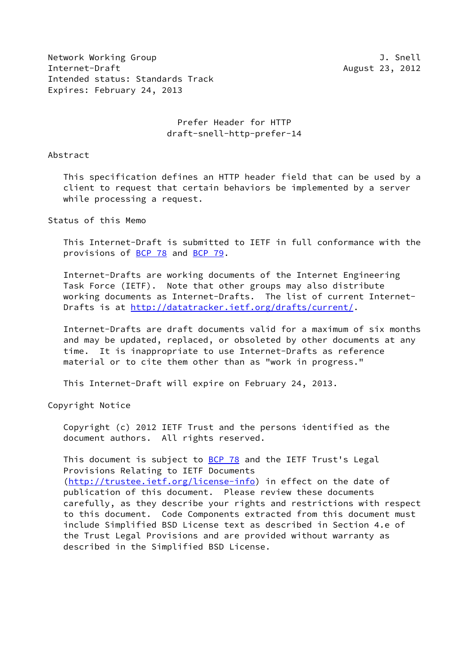Network Working Group **J. Snell** Internet-Draft August 23, 2012 Intended status: Standards Track Expires: February 24, 2013

### Prefer Header for HTTP draft-snell-http-prefer-14

Abstract

 This specification defines an HTTP header field that can be used by a client to request that certain behaviors be implemented by a server while processing a request.

Status of this Memo

 This Internet-Draft is submitted to IETF in full conformance with the provisions of [BCP 78](https://datatracker.ietf.org/doc/pdf/bcp78) and [BCP 79](https://datatracker.ietf.org/doc/pdf/bcp79).

 Internet-Drafts are working documents of the Internet Engineering Task Force (IETF). Note that other groups may also distribute working documents as Internet-Drafts. The list of current Internet Drafts is at<http://datatracker.ietf.org/drafts/current/>.

 Internet-Drafts are draft documents valid for a maximum of six months and may be updated, replaced, or obsoleted by other documents at any time. It is inappropriate to use Internet-Drafts as reference material or to cite them other than as "work in progress."

This Internet-Draft will expire on February 24, 2013.

Copyright Notice

 Copyright (c) 2012 IETF Trust and the persons identified as the document authors. All rights reserved.

This document is subject to **[BCP 78](https://datatracker.ietf.org/doc/pdf/bcp78)** and the IETF Trust's Legal Provisions Relating to IETF Documents [\(http://trustee.ietf.org/license-info](http://trustee.ietf.org/license-info)) in effect on the date of publication of this document. Please review these documents carefully, as they describe your rights and restrictions with respect to this document. Code Components extracted from this document must include Simplified BSD License text as described in Section 4.e of the Trust Legal Provisions and are provided without warranty as described in the Simplified BSD License.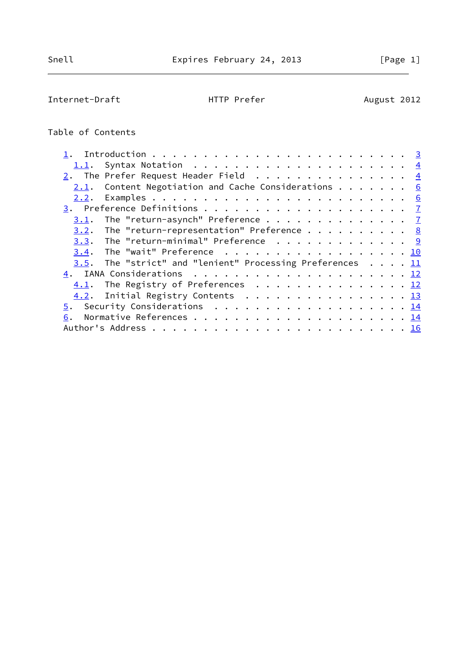# Internet-Draft **HTTP Prefer** August 2012

## Table of Contents

| 2. The Prefer Request Header Field 4                            |  |  |  |
|-----------------------------------------------------------------|--|--|--|
| Content Negotiation and Cache Considerations $\cdots$ 6<br>2.1. |  |  |  |
| 2.2.                                                            |  |  |  |
|                                                                 |  |  |  |
| The "return-asynch" Preference $\frac{7}{2}$<br>3.1.            |  |  |  |
| The "return-representation" Preference $8$<br>3.2.              |  |  |  |
| $3.3$ . The "return-minimal" Preference 9                       |  |  |  |
| 3.4. The "wait" Preference 10                                   |  |  |  |
| The "strict" and "lenient" Processing Preferences $11$<br>3.5.  |  |  |  |
|                                                                 |  |  |  |
| $\underline{4.1}$ . The Registry of Preferences 12              |  |  |  |
| 4.2. Initial Registry Contents 13                               |  |  |  |
| 5. Security Considerations 14                                   |  |  |  |
| 6.                                                              |  |  |  |
|                                                                 |  |  |  |
|                                                                 |  |  |  |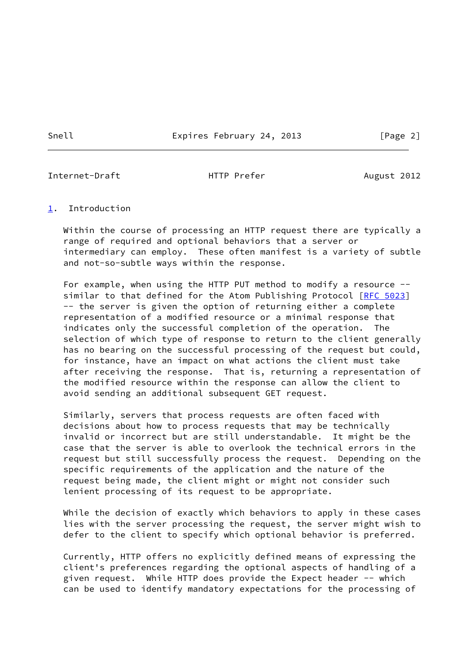Snell Expires February 24, 2013 [Page 2]

<span id="page-2-1"></span>Internet-Draft **HTTP Prefer** August 2012

#### <span id="page-2-0"></span>[1](#page-2-0). Introduction

 Within the course of processing an HTTP request there are typically a range of required and optional behaviors that a server or intermediary can employ. These often manifest is a variety of subtle and not-so-subtle ways within the response.

 For example, when using the HTTP PUT method to modify a resource -- similar to that defined for the Atom Publishing Protocol [\[RFC 5023](https://datatracker.ietf.org/doc/pdf/rfc5023)] -- the server is given the option of returning either a complete representation of a modified resource or a minimal response that indicates only the successful completion of the operation. The selection of which type of response to return to the client generally has no bearing on the successful processing of the request but could, for instance, have an impact on what actions the client must take after receiving the response. That is, returning a representation of the modified resource within the response can allow the client to avoid sending an additional subsequent GET request.

 Similarly, servers that process requests are often faced with decisions about how to process requests that may be technically invalid or incorrect but are still understandable. It might be the case that the server is able to overlook the technical errors in the request but still successfully process the request. Depending on the specific requirements of the application and the nature of the request being made, the client might or might not consider such lenient processing of its request to be appropriate.

While the decision of exactly which behaviors to apply in these cases lies with the server processing the request, the server might wish to defer to the client to specify which optional behavior is preferred.

 Currently, HTTP offers no explicitly defined means of expressing the client's preferences regarding the optional aspects of handling of a given request. While HTTP does provide the Expect header -- which can be used to identify mandatory expectations for the processing of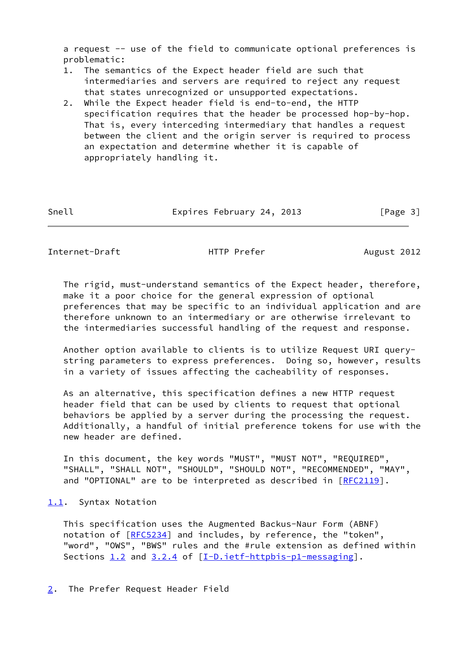a request -- use of the field to communicate optional preferences is problematic:

- 1. The semantics of the Expect header field are such that intermediaries and servers are required to reject any request that states unrecognized or unsupported expectations.
- 2. While the Expect header field is end-to-end, the HTTP specification requires that the header be processed hop-by-hop. That is, every interceding intermediary that handles a request between the client and the origin server is required to process an expectation and determine whether it is capable of appropriately handling it.

| [Page 3] |
|----------|
|          |

<span id="page-3-1"></span>Internet-Draft **HTTP Prefer** August 2012

 The rigid, must-understand semantics of the Expect header, therefore, make it a poor choice for the general expression of optional preferences that may be specific to an individual application and are therefore unknown to an intermediary or are otherwise irrelevant to the intermediaries successful handling of the request and response.

 Another option available to clients is to utilize Request URI query string parameters to express preferences. Doing so, however, results in a variety of issues affecting the cacheability of responses.

 As an alternative, this specification defines a new HTTP request header field that can be used by clients to request that optional behaviors be applied by a server during the processing the request. Additionally, a handful of initial preference tokens for use with the new header are defined.

 In this document, the key words "MUST", "MUST NOT", "REQUIRED", "SHALL", "SHALL NOT", "SHOULD", "SHOULD NOT", "RECOMMENDED", "MAY", and "OPTIONAL" are to be interpreted as described in [\[RFC2119](https://datatracker.ietf.org/doc/pdf/rfc2119)].

#### <span id="page-3-0"></span>[1.1](#page-3-0). Syntax Notation

<span id="page-3-2"></span> This specification uses the Augmented Backus-Naur Form (ABNF) notation of [\[RFC5234](https://datatracker.ietf.org/doc/pdf/rfc5234)] and includes, by reference, the "token", "word", "OWS", "BWS" rules and the #rule extension as defined within Sections  $1.2$  and  $3.2.4$  of  $[I-D.iett-thtbbis-p1-messaging]$ .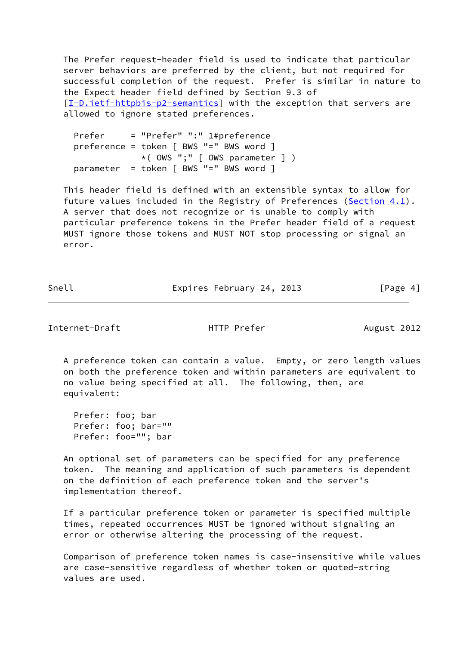The Prefer request-header field is used to indicate that particular server behaviors are preferred by the client, but not required for successful completion of the request. Prefer is similar in nature to the Expect header field defined by Section 9.3 of [\[I-D.ietf-httpbis-p2-semantics](#page-15-2)] with the exception that servers are allowed to ignore stated preferences.

 Prefer = "Prefer" ":" 1#preference preference = token [ BWS "=" BWS word ] \*( OWS ";" [ OWS parameter ] ) parameter = token [ BWS "=" BWS word ]

 This header field is defined with an extensible syntax to allow for future values included in the Registry of Preferences ([Section 4.1](#page-13-0)). A server that does not recognize or is unable to comply with particular preference tokens in the Prefer header field of a request MUST ignore those tokens and MUST NOT stop processing or signal an error.

Snell Expires February 24, 2013 [Page 4]

Internet-Draft HTTP Prefer August 2012

 A preference token can contain a value. Empty, or zero length values on both the preference token and within parameters are equivalent to no value being specified at all. The following, then, are equivalent:

 Prefer: foo; bar Prefer: foo; bar="" Prefer: foo=""; bar

 An optional set of parameters can be specified for any preference token. The meaning and application of such parameters is dependent on the definition of each preference token and the server's implementation thereof.

 If a particular preference token or parameter is specified multiple times, repeated occurrences MUST be ignored without signaling an error or otherwise altering the processing of the request.

 Comparison of preference token names is case-insensitive while values are case-sensitive regardless of whether token or quoted-string values are used.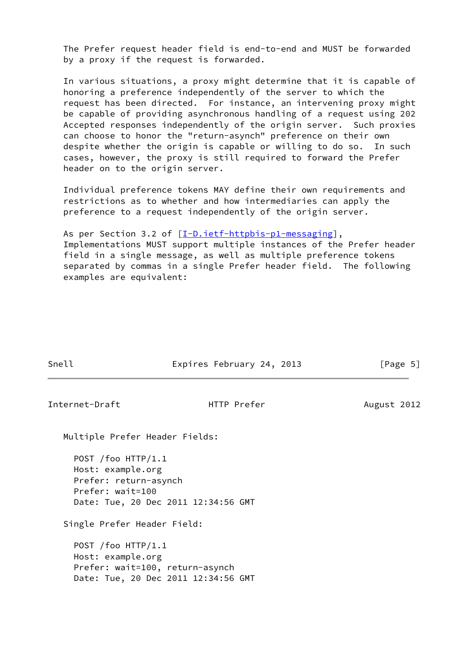The Prefer request header field is end-to-end and MUST be forwarded by a proxy if the request is forwarded.

 In various situations, a proxy might determine that it is capable of honoring a preference independently of the server to which the request has been directed. For instance, an intervening proxy might be capable of providing asynchronous handling of a request using 202 Accepted responses independently of the origin server. Such proxies can choose to honor the "return-asynch" preference on their own despite whether the origin is capable or willing to do so. In such cases, however, the proxy is still required to forward the Prefer header on to the origin server.

 Individual preference tokens MAY define their own requirements and restrictions as to whether and how intermediaries can apply the preference to a request independently of the origin server.

As per Section 3.2 of [[I-D.ietf-httpbis-p1-messaging\]](#page-15-1), Implementations MUST support multiple instances of the Prefer header field in a single message, as well as multiple preference tokens separated by commas in a single Prefer header field. The following examples are equivalent:

|--|

Expires February 24, 2013 [Page 5]

<span id="page-5-0"></span>Internet-Draft **HTTP Prefer** August 2012

Multiple Prefer Header Fields:

 POST /foo HTTP/1.1 Host: example.org Prefer: return-asynch Prefer: wait=100 Date: Tue, 20 Dec 2011 12:34:56 GMT

Single Prefer Header Field:

 POST /foo HTTP/1.1 Host: example.org Prefer: wait=100, return-asynch Date: Tue, 20 Dec 2011 12:34:56 GMT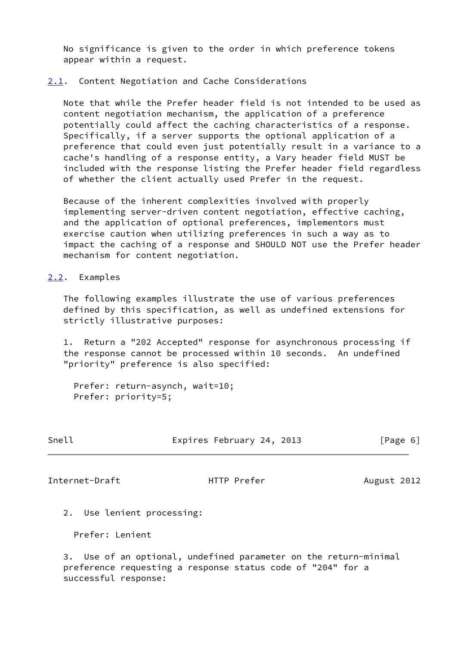No significance is given to the order in which preference tokens appear within a request.

#### <span id="page-6-0"></span>[2.1](#page-6-0). Content Negotiation and Cache Considerations

 Note that while the Prefer header field is not intended to be used as content negotiation mechanism, the application of a preference potentially could affect the caching characteristics of a response. Specifically, if a server supports the optional application of a preference that could even just potentially result in a variance to a cache's handling of a response entity, a Vary header field MUST be included with the response listing the Prefer header field regardless of whether the client actually used Prefer in the request.

 Because of the inherent complexities involved with properly implementing server-driven content negotiation, effective caching, and the application of optional preferences, implementors must exercise caution when utilizing preferences in such a way as to impact the caching of a response and SHOULD NOT use the Prefer header mechanism for content negotiation.

<span id="page-6-1"></span>[2.2](#page-6-1). Examples

 The following examples illustrate the use of various preferences defined by this specification, as well as undefined extensions for strictly illustrative purposes:

 1. Return a "202 Accepted" response for asynchronous processing if the response cannot be processed within 10 seconds. An undefined "priority" preference is also specified:

 Prefer: return-asynch, wait=10; Prefer: priority=5;

| ٧<br>٠ | ۹<br>۹ |
|--------|--------|
|--------|--------|

Expires February 24, 2013 [Page 6]

<span id="page-6-2"></span>Internet-Draft HTTP Prefer August 2012

2. Use lenient processing:

Prefer: Lenient

 3. Use of an optional, undefined parameter on the return-minimal preference requesting a response status code of "204" for a successful response: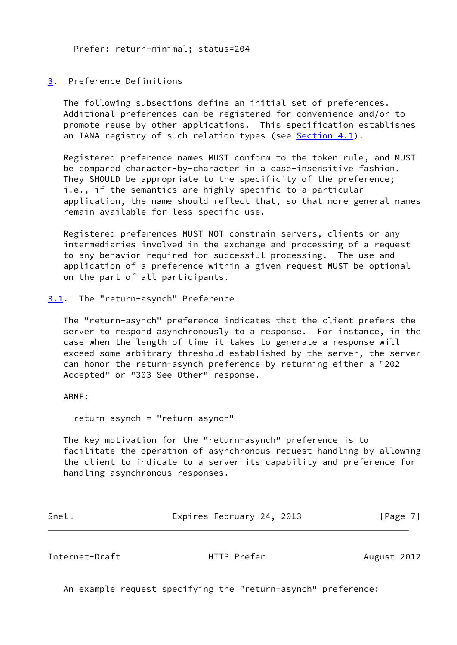Prefer: return-minimal; status=204

### <span id="page-7-0"></span>[3](#page-7-0). Preference Definitions

 The following subsections define an initial set of preferences. Additional preferences can be registered for convenience and/or to promote reuse by other applications. This specification establishes an IANA registry of such relation types (see Section  $4.1$ ).

 Registered preference names MUST conform to the token rule, and MUST be compared character-by-character in a case-insensitive fashion. They SHOULD be appropriate to the specificity of the preference; i.e., if the semantics are highly specific to a particular application, the name should reflect that, so that more general names remain available for less specific use.

 Registered preferences MUST NOT constrain servers, clients or any intermediaries involved in the exchange and processing of a request to any behavior required for successful processing. The use and application of a preference within a given request MUST be optional on the part of all participants.

#### <span id="page-7-1"></span>[3.1](#page-7-1). The "return-asynch" Preference

 The "return-asynch" preference indicates that the client prefers the server to respond asynchronously to a response. For instance, in the case when the length of time it takes to generate a response will exceed some arbitrary threshold established by the server, the server can honor the return-asynch preference by returning either a "202 Accepted" or "303 See Other" response.

ABNF:

return-asynch = "return-asynch"

 The key motivation for the "return-asynch" preference is to facilitate the operation of asynchronous request handling by allowing the client to indicate to a server its capability and preference for handling asynchronous responses.

| Snell | Expires February 24, 2013 | [Page 7] |
|-------|---------------------------|----------|
|       |                           |          |

<span id="page-7-2"></span>Internet-Draft **HTTP Prefer** August 2012

An example request specifying the "return-asynch" preference: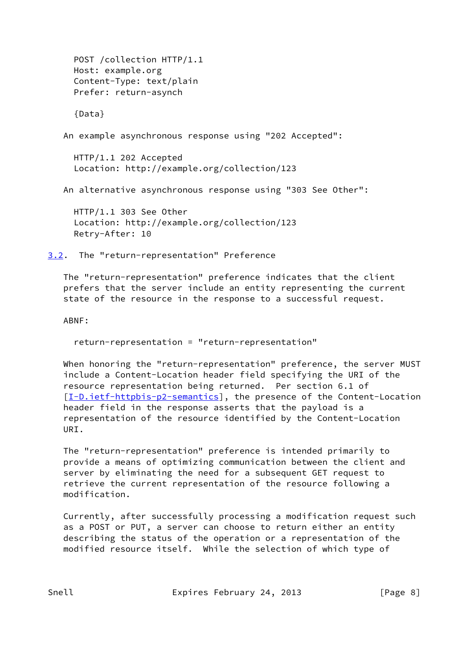POST /collection HTTP/1.1 Host: example.org Content-Type: text/plain Prefer: return-asynch {Data} An example asynchronous response using "202 Accepted": HTTP/1.1 202 Accepted Location: http://example.org/collection/123 An alternative asynchronous response using "303 See Other": HTTP/1.1 303 See Other Location: http://example.org/collection/123 Retry-After: 10

<span id="page-8-0"></span>[3.2](#page-8-0). The "return-representation" Preference

 The "return-representation" preference indicates that the client prefers that the server include an entity representing the current state of the resource in the response to a successful request.

ABNF:

return-representation = "return-representation"

 When honoring the "return-representation" preference, the server MUST include a Content-Location header field specifying the URI of the resource representation being returned. Per section 6.1 of [\[I-D.ietf-httpbis-p2-semantics](#page-15-2)], the presence of the Content-Location header field in the response asserts that the payload is a representation of the resource identified by the Content-Location URI.

 The "return-representation" preference is intended primarily to provide a means of optimizing communication between the client and server by eliminating the need for a subsequent GET request to retrieve the current representation of the resource following a modification.

 Currently, after successfully processing a modification request such as a POST or PUT, a server can choose to return either an entity describing the status of the operation or a representation of the modified resource itself. While the selection of which type of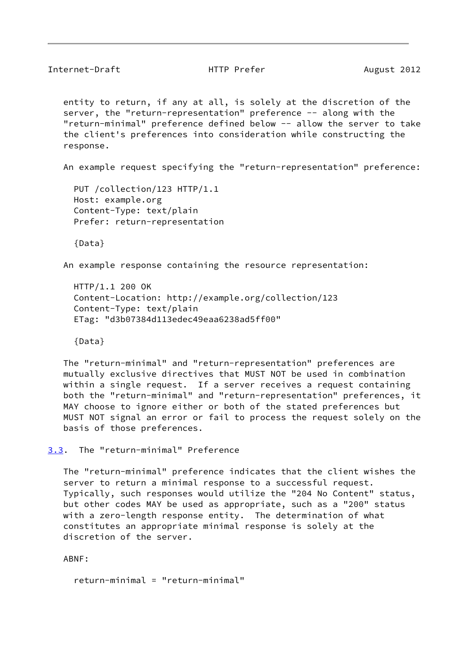<span id="page-9-1"></span>Internet-Draft **HTTP Prefer** August 2012

 entity to return, if any at all, is solely at the discretion of the server, the "return-representation" preference -- along with the "return-minimal" preference defined below -- allow the server to take the client's preferences into consideration while constructing the response.

An example request specifying the "return-representation" preference:

 PUT /collection/123 HTTP/1.1 Host: example.org Content-Type: text/plain Prefer: return-representation

{Data}

An example response containing the resource representation:

 HTTP/1.1 200 OK Content-Location: http://example.org/collection/123 Content-Type: text/plain ETag: "d3b07384d113edec49eaa6238ad5ff00"

{Data}

 The "return-minimal" and "return-representation" preferences are mutually exclusive directives that MUST NOT be used in combination within a single request. If a server receives a request containing both the "return-minimal" and "return-representation" preferences, it MAY choose to ignore either or both of the stated preferences but MUST NOT signal an error or fail to process the request solely on the basis of those preferences.

<span id="page-9-0"></span>[3.3](#page-9-0). The "return-minimal" Preference

 The "return-minimal" preference indicates that the client wishes the server to return a minimal response to a successful request. Typically, such responses would utilize the "204 No Content" status, but other codes MAY be used as appropriate, such as a "200" status with a zero-length response entity. The determination of what constitutes an appropriate minimal response is solely at the discretion of the server.

ABNF:

return-minimal = "return-minimal"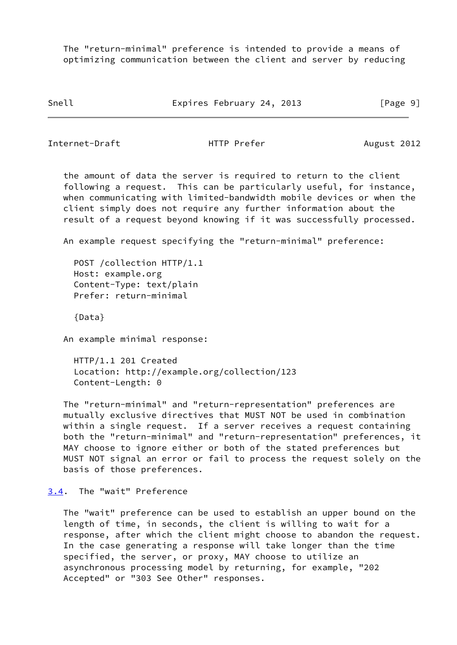The "return-minimal" preference is intended to provide a means of optimizing communication between the client and server by reducing

Snell Expires February 24, 2013 [Page 9]

<span id="page-10-1"></span>Internet-Draft HTTP Prefer August 2012

 the amount of data the server is required to return to the client following a request. This can be particularly useful, for instance, when communicating with limited-bandwidth mobile devices or when the client simply does not require any further information about the result of a request beyond knowing if it was successfully processed.

An example request specifying the "return-minimal" preference:

 POST /collection HTTP/1.1 Host: example.org Content-Type: text/plain Prefer: return-minimal

{Data}

An example minimal response:

 HTTP/1.1 201 Created Location: http://example.org/collection/123 Content-Length: 0

 The "return-minimal" and "return-representation" preferences are mutually exclusive directives that MUST NOT be used in combination within a single request. If a server receives a request containing both the "return-minimal" and "return-representation" preferences, it MAY choose to ignore either or both of the stated preferences but MUST NOT signal an error or fail to process the request solely on the basis of those preferences.

<span id="page-10-0"></span>[3.4](#page-10-0). The "wait" Preference

 The "wait" preference can be used to establish an upper bound on the length of time, in seconds, the client is willing to wait for a response, after which the client might choose to abandon the request. In the case generating a response will take longer than the time specified, the server, or proxy, MAY choose to utilize an asynchronous processing model by returning, for example, "202 Accepted" or "303 See Other" responses.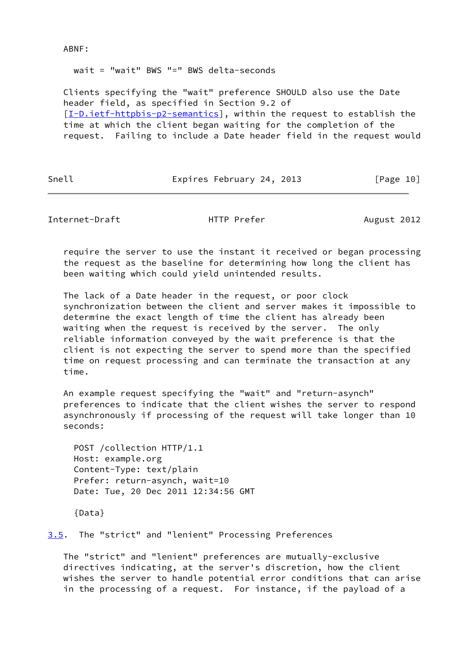#### ABNF:

wait = "wait" BWS "=" BWS delta-seconds

 Clients specifying the "wait" preference SHOULD also use the Date header field, as specified in Section 9.2 of [\[I-D.ietf-httpbis-p2-semantics](#page-15-2)], within the request to establish the time at which the client began waiting for the completion of the request. Failing to include a Date header field in the request would

Snell Expires February 24, 2013 [Page 10]

<span id="page-11-1"></span>Internet-Draft **HTTP Prefer** August 2012

 require the server to use the instant it received or began processing the request as the baseline for determining how long the client has been waiting which could yield unintended results.

 The lack of a Date header in the request, or poor clock synchronization between the client and server makes it impossible to determine the exact length of time the client has already been waiting when the request is received by the server. The only reliable information conveyed by the wait preference is that the client is not expecting the server to spend more than the specified time on request processing and can terminate the transaction at any time.

 An example request specifying the "wait" and "return-asynch" preferences to indicate that the client wishes the server to respond asynchronously if processing of the request will take longer than 10 seconds:

 POST /collection HTTP/1.1 Host: example.org Content-Type: text/plain Prefer: return-asynch, wait=10 Date: Tue, 20 Dec 2011 12:34:56 GMT

{Data}

<span id="page-11-0"></span>[3.5](#page-11-0). The "strict" and "lenient" Processing Preferences

 The "strict" and "lenient" preferences are mutually-exclusive directives indicating, at the server's discretion, how the client wishes the server to handle potential error conditions that can arise in the processing of a request. For instance, if the payload of a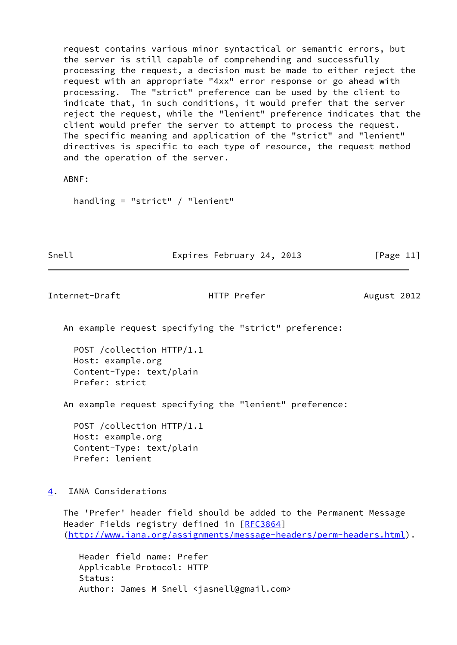request contains various minor syntactical or semantic errors, but the server is still capable of comprehending and successfully processing the request, a decision must be made to either reject the request with an appropriate "4xx" error response or go ahead with processing. The "strict" preference can be used by the client to indicate that, in such conditions, it would prefer that the server reject the request, while the "lenient" preference indicates that the client would prefer the server to attempt to process the request. The specific meaning and application of the "strict" and "lenient" directives is specific to each type of resource, the request method and the operation of the server.

ABNF:

handling = "strict" / "lenient"

Snell Expires February 24, 2013 [Page 11]

<span id="page-12-1"></span>Internet-Draft **HTTP Prefer** August 2012

An example request specifying the "strict" preference:

 POST /collection HTTP/1.1 Host: example.org Content-Type: text/plain Prefer: strict

An example request specifying the "lenient" preference:

 POST /collection HTTP/1.1 Host: example.org Content-Type: text/plain Prefer: lenient

<span id="page-12-0"></span>[4](#page-12-0). IANA Considerations

 The 'Prefer' header field should be added to the Permanent Message Header Fields registry defined in [[RFC3864](https://datatracker.ietf.org/doc/pdf/rfc3864)] [\(http://www.iana.org/assignments/message-headers/perm-headers.html](http://www.iana.org/assignments/message-headers/perm-headers.html)).

 Header field name: Prefer Applicable Protocol: HTTP Status: Author: James M Snell <jasnell@gmail.com>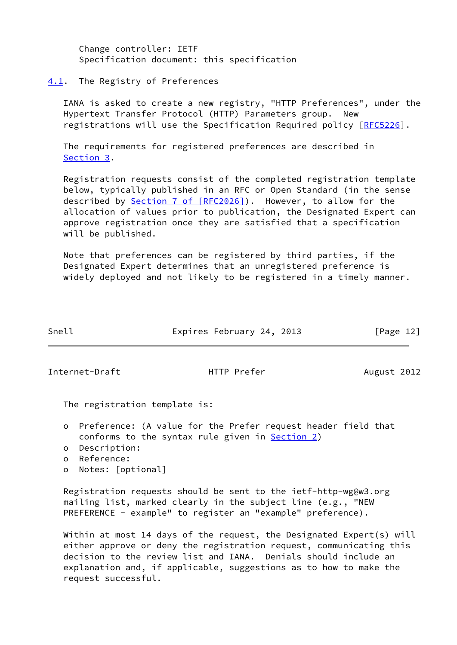Change controller: IETF Specification document: this specification

#### <span id="page-13-0"></span>[4.1](#page-13-0). The Registry of Preferences

 IANA is asked to create a new registry, "HTTP Preferences", under the Hypertext Transfer Protocol (HTTP) Parameters group. New registrations will use the Specification Required policy [\[RFC5226](https://datatracker.ietf.org/doc/pdf/rfc5226)].

 The requirements for registered preferences are described in [Section 3](#page-7-0).

 Registration requests consist of the completed registration template below, typically published in an RFC or Open Standard (in the sense described by **Section [7 of \[RFC2026\]](https://datatracker.ietf.org/doc/pdf/rfc2026#section-7)**). However, to allow for the allocation of values prior to publication, the Designated Expert can approve registration once they are satisfied that a specification will be published.

 Note that preferences can be registered by third parties, if the Designated Expert determines that an unregistered preference is widely deployed and not likely to be registered in a timely manner.

| Snell | Expires February 24, 2013 |  | [Page 12] |  |
|-------|---------------------------|--|-----------|--|
|       |                           |  |           |  |

<span id="page-13-1"></span>Internet-Draft **HTTP Prefer** August 2012

The registration template is:

- o Preference: (A value for the Prefer request header field that conforms to the syntax rule given in [Section 2](#page-3-2))
- o Description:
- o Reference:
- o Notes: [optional]

 Registration requests should be sent to the ietf-http-wg@w3.org mailing list, marked clearly in the subject line (e.g., "NEW PREFERENCE - example" to register an "example" preference).

 Within at most 14 days of the request, the Designated Expert(s) will either approve or deny the registration request, communicating this decision to the review list and IANA. Denials should include an explanation and, if applicable, suggestions as to how to make the request successful.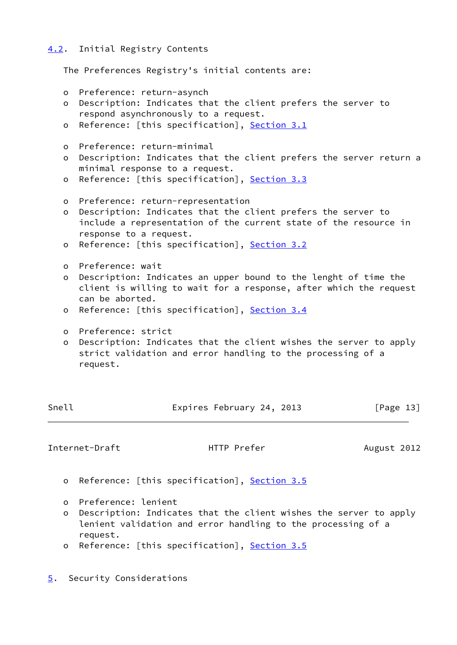### <span id="page-14-0"></span>[4.2](#page-14-0). Initial Registry Contents

The Preferences Registry's initial contents are:

- o Preference: return-asynch
- o Description: Indicates that the client prefers the server to respond asynchronously to a request.
- o Reference: [this specification], [Section 3.1](#page-7-1)
- o Preference: return-minimal
- o Description: Indicates that the client prefers the server return a minimal response to a request.
- o Reference: [this specification], [Section 3.3](#page-9-0)
- o Preference: return-representation
- o Description: Indicates that the client prefers the server to include a representation of the current state of the resource in response to a request.
- o Reference: [this specification], [Section 3.2](#page-8-0)
- o Preference: wait
- o Description: Indicates an upper bound to the lenght of time the client is willing to wait for a response, after which the request can be aborted.
- o Reference: [this specification], [Section 3.4](#page-10-0)
- o Preference: strict
- o Description: Indicates that the client wishes the server to apply strict validation and error handling to the processing of a request.

| Snell | Expires February 24, 2013 |  | [Page 13] |
|-------|---------------------------|--|-----------|
|       |                           |  |           |

<span id="page-14-2"></span>Internet-Draft **HTTP Prefer** August 2012

- o Reference: [this specification], [Section 3.5](#page-11-0)
- o Preference: lenient
- o Description: Indicates that the client wishes the server to apply lenient validation and error handling to the processing of a request.
- o Reference: [this specification], [Section 3.5](#page-11-0)
- <span id="page-14-1"></span>[5](#page-14-1). Security Considerations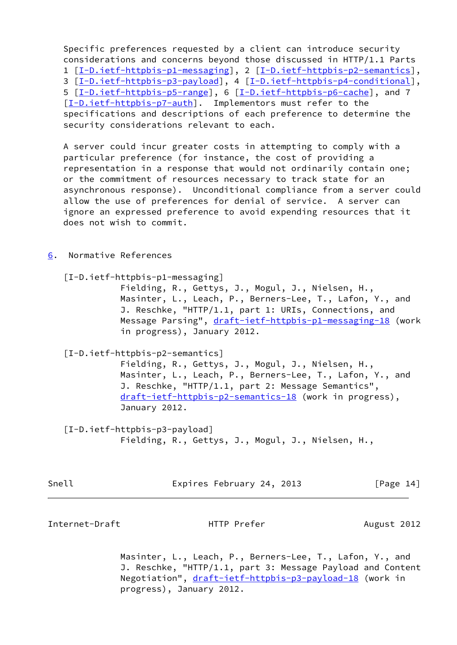Specific preferences requested by a client can introduce security considerations and concerns beyond those discussed in HTTP/1.1 Parts 1 [[I-D.ietf-httpbis-p1-messaging\]](#page-15-1), 2 [\[I-D.ietf-httpbis-p2-semantics\]](#page-15-2), 3 [[I-D.ietf-httpbis-p3-payload](#page-15-3)], 4 [[I-D.ietf-httpbis-p4-conditional\]](#page-16-0), 5  $[I-D.ietf-httpbis-p5-range]$  $[I-D.ietf-httpbis-p5-range]$ , 6  $[I-D.ietf-httpbis-p6-cache]$ , and 7 [\[I-D.ietf-httpbis-p7-auth](#page-16-3)]. Implementors must refer to the specifications and descriptions of each preference to determine the security considerations relevant to each.

 A server could incur greater costs in attempting to comply with a particular preference (for instance, the cost of providing a representation in a response that would not ordinarily contain one; or the commitment of resources necessary to track state for an asynchronous response). Unconditional compliance from a server could allow the use of preferences for denial of service. A server can ignore an expressed preference to avoid expending resources that it does not wish to commit.

<span id="page-15-0"></span>[6](#page-15-0). Normative References

<span id="page-15-1"></span>[I-D.ietf-httpbis-p1-messaging]

 Fielding, R., Gettys, J., Mogul, J., Nielsen, H., Masinter, L., Leach, P., Berners-Lee, T., Lafon, Y., and J. Reschke, "HTTP/1.1, part 1: URIs, Connections, and Message Parsing", [draft-ietf-httpbis-p1-messaging-18](https://datatracker.ietf.org/doc/pdf/draft-ietf-httpbis-p1-messaging-18) (work in progress), January 2012.

<span id="page-15-2"></span>[I-D.ietf-httpbis-p2-semantics]

 Fielding, R., Gettys, J., Mogul, J., Nielsen, H., Masinter, L., Leach, P., Berners-Lee, T., Lafon, Y., and J. Reschke, "HTTP/1.1, part 2: Message Semantics", [draft-ietf-httpbis-p2-semantics-18](https://datatracker.ietf.org/doc/pdf/draft-ietf-httpbis-p2-semantics-18) (work in progress), January 2012.

<span id="page-15-3"></span> [I-D.ietf-httpbis-p3-payload] Fielding, R., Gettys, J., Mogul, J., Nielsen, H.,

Snell Expires February 24, 2013 [Page 14]

Internet-Draft **HTTP Prefer** August 2012

 Masinter, L., Leach, P., Berners-Lee, T., Lafon, Y., and J. Reschke, "HTTP/1.1, part 3: Message Payload and Content Negotiation", [draft-ietf-httpbis-p3-payload-18](https://datatracker.ietf.org/doc/pdf/draft-ietf-httpbis-p3-payload-18) (work in progress), January 2012.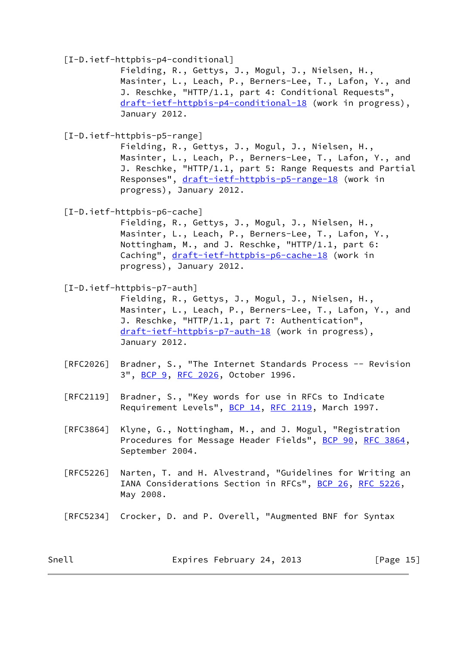<span id="page-16-0"></span>[I-D.ietf-httpbis-p4-conditional]

 Fielding, R., Gettys, J., Mogul, J., Nielsen, H., Masinter, L., Leach, P., Berners-Lee, T., Lafon, Y., and J. Reschke, "HTTP/1.1, part 4: Conditional Requests", [draft-ietf-httpbis-p4-conditional-18](https://datatracker.ietf.org/doc/pdf/draft-ietf-httpbis-p4-conditional-18) (work in progress), January 2012.

<span id="page-16-1"></span>[I-D.ietf-httpbis-p5-range]

 Fielding, R., Gettys, J., Mogul, J., Nielsen, H., Masinter, L., Leach, P., Berners-Lee, T., Lafon, Y., and J. Reschke, "HTTP/1.1, part 5: Range Requests and Partial Responses", [draft-ietf-httpbis-p5-range-18](https://datatracker.ietf.org/doc/pdf/draft-ietf-httpbis-p5-range-18) (work in progress), January 2012.

<span id="page-16-2"></span>[I-D.ietf-httpbis-p6-cache]

 Fielding, R., Gettys, J., Mogul, J., Nielsen, H., Masinter, L., Leach, P., Berners-Lee, T., Lafon, Y., Nottingham, M., and J. Reschke, "HTTP/1.1, part 6: Caching", [draft-ietf-httpbis-p6-cache-18](https://datatracker.ietf.org/doc/pdf/draft-ietf-httpbis-p6-cache-18) (work in progress), January 2012.

<span id="page-16-3"></span>[I-D.ietf-httpbis-p7-auth]

 Fielding, R., Gettys, J., Mogul, J., Nielsen, H., Masinter, L., Leach, P., Berners-Lee, T., Lafon, Y., and J. Reschke, "HTTP/1.1, part 7: Authentication", [draft-ietf-httpbis-p7-auth-18](https://datatracker.ietf.org/doc/pdf/draft-ietf-httpbis-p7-auth-18) (work in progress), January 2012.

- [RFC2026] Bradner, S., "The Internet Standards Process -- Revision 3", [BCP 9,](https://datatracker.ietf.org/doc/pdf/bcp9) [RFC 2026](https://datatracker.ietf.org/doc/pdf/rfc2026), October 1996.
- [RFC2119] Bradner, S., "Key words for use in RFCs to Indicate Requirement Levels", [BCP 14](https://datatracker.ietf.org/doc/pdf/bcp14), [RFC 2119](https://datatracker.ietf.org/doc/pdf/rfc2119), March 1997.
- [RFC3864] Klyne, G., Nottingham, M., and J. Mogul, "Registration Procedures for Message Header Fields", [BCP 90](https://datatracker.ietf.org/doc/pdf/bcp90), [RFC 3864](https://datatracker.ietf.org/doc/pdf/rfc3864), September 2004.
- [RFC5226] Narten, T. and H. Alvestrand, "Guidelines for Writing an IANA Considerations Section in RFCs", [BCP 26](https://datatracker.ietf.org/doc/pdf/bcp26), [RFC 5226](https://datatracker.ietf.org/doc/pdf/rfc5226), May 2008.
- [RFC5234] Crocker, D. and P. Overell, "Augmented BNF for Syntax

Snell Expires February 24, 2013 [Page 15]